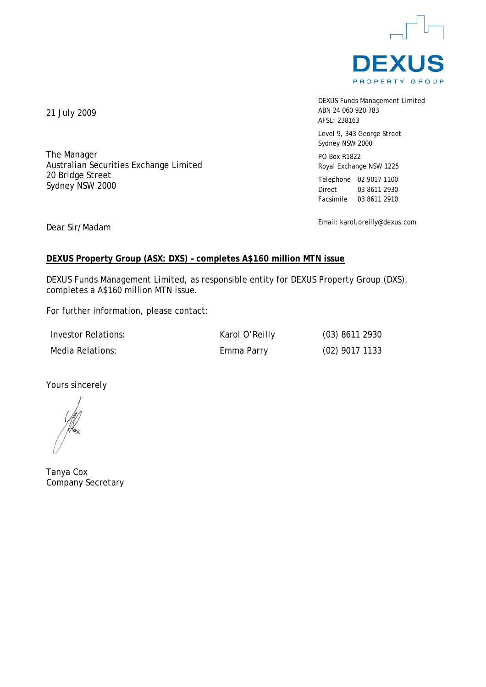

DEXUS Funds Management Limited ABN 24 060 920 783 AFSL: 238163

Level 9, 343 George Street Sydney NSW 2000

PO Box R1822 Royal Exchange NSW 1225

Telephone 02 9017 1100 Direct 03 8611 2930 Facsimile 03 8611 2910

Email: karol.oreilly@dexus.com

21 July 2009

The Manager Australian Securities Exchange Limited 20 Bridge Street Sydney NSW 2000

Dear Sir/Madam

# **DEXUS Property Group (ASX: DXS) – completes A\$160 million MTN issue**

DEXUS Funds Management Limited, as responsible entity for DEXUS Property Group (DXS), completes a A\$160 million MTN issue.

For further information, please contact:

Investor Relations: Karol O'Reilly (03) 8611 2930 Media Relations: Emma Parry (02) 9017 1133

Yours sincerely

Tanya Cox Company Secretary